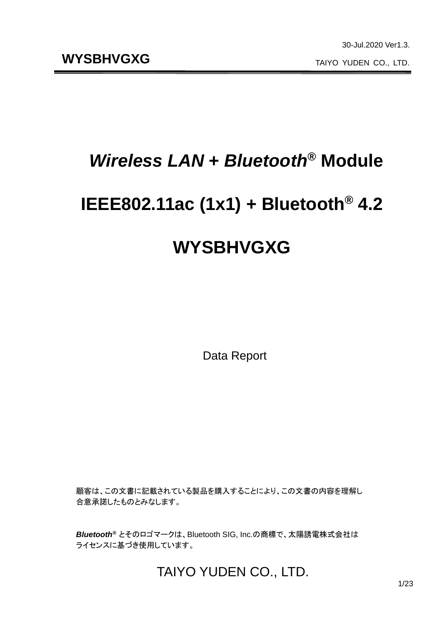# *Wireless LAN* **+** *Bluetooth***® Module**

# **IEEE802.11ac (1x1) + Bluetooth® 4.2**

# **WYSBHVGXG**

Data Report

顧客は、この文書に記載されている製品を購入することにより、この文書の内容を理解し 合意承諾したものとみなします。

*Bluetooth®* とそのロゴマークは、Bluetooth SIG, Inc.の商標で、太陽誘電株式会社は ライセンスに基づき使用しています。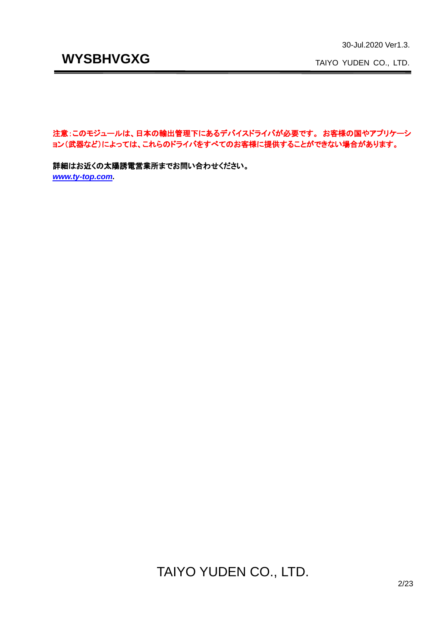TAIYO YUDEN CO., LTD.

注意:このモジュールは、日本の輸出管理下にあるデバイスドライバが必要です。 お客様の国やアプリケーシ ョン(武器など)によっては、これらのドライバをすべてのお客様に提供することができない場合があります。

詳細はお近くの太陽誘電営業所までお問い合わせください。 *[www.ty-top.com.](http://www.ty-top.com/)*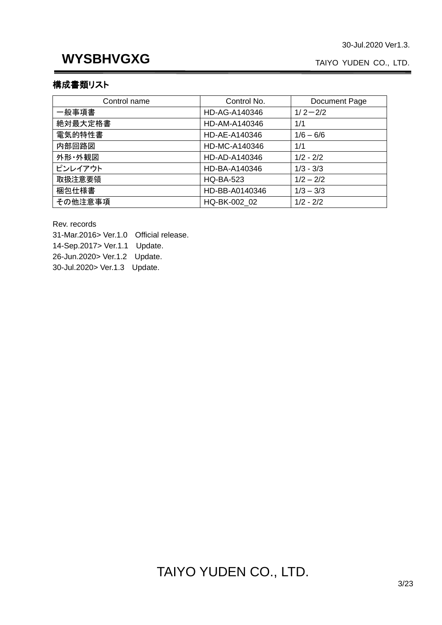TAIYO YUDEN CO., LTD.

### 構成書類リスト

| Control name | Control No.      | Document Page |
|--------------|------------------|---------------|
| 一般事項書        | HD-AG-A140346    | $1/2 - 2/2$   |
| 絶対最大定格書      | HD-AM-A140346    | 1/1           |
| 電気的特性書       | HD-AE-A140346    | $1/6 - 6/6$   |
| 内部回路図        | HD-MC-A140346    | 1/1           |
| 外形·外観図       | HD-AD-A140346    | $1/2 - 2/2$   |
| ピンレイアウト      | HD-BA-A140346    | $1/3 - 3/3$   |
| 取扱注意要領       | <b>HQ-BA-523</b> | $1/2 - 2/2$   |
| 梱包仕様書        | HD-BB-A0140346   | $1/3 - 3/3$   |
| その他注意事項      | HQ-BK-002 02     | $1/2 - 2/2$   |

Rev. records

31-Mar.2016> Ver.1.0 Official release.

14-Sep.2017> Ver.1.1 Update.

26-Jun.2020> Ver.1.2 Update.

30-Jul.2020> Ver.1.3 Update.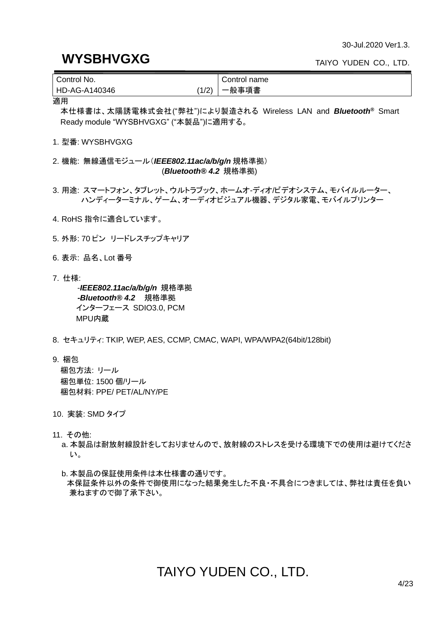### **WYSBHVGXG**

TAIYO YUDEN CO., LTD.

| Control No.           | Control name |
|-----------------------|--------------|
| 1/2)<br>HD-AG-A140346 | 一般事項書        |

適用

本仕様書は、太陽誘電株式会社("弊社")により製造される Wireless LAN and *Bluetooth®* Smart Ready module "WYSBHVGXG" ("本製品")に適用する。

1. 型番: WYSBHVGXG

2. 機能: 無線通信モジュール(*IEEE802.11ac/a/b/g/n* 規格準拠) (*Bluetooth® 4.2* 規格準拠)

3. 用途: スマートフォン、タブレット、ウルトラブック、ホームオ-ディオ/ビデオシステム、モバイルルーター、 ハンディーターミナル、ゲーム、オーディオビジュアル機器、デジタル家電、モバイルプリンター

- 4. RoHS 指令に適合しています。
- 5. 外形: 70 ピン リードレスチップキャリア
- 6. 表示: 品名、Lot 番号
- 7. 仕様:

-*IEEE802.11ac/a/b/g/n* 規格準拠 *-Bluetooth® 4.2* 規格準拠 インターフェース SDIO3.0, PCM MPU内蔵

- 8. セキュリティ: TKIP, WEP, AES, CCMP, CMAC, WAPI, WPA/WPA2(64bit/128bit)
- 9. 梱包

梱包方法: リール 梱包単位: 1500 個/リール 梱包材料: PPE/ PET/AL/NY/PE

- 10. 実装: SMD タイプ
- 11. その他:
	- a. 本製品は耐放射線設計をしておりませんので、放射線のストレスを受ける環境下での使用は避けてくださ い。
	- b. 本製品の保証使用条件は本仕様書の通りです。 本保証条件以外の条件で御使用になった結果発生した不良・不具合につきましては、弊社は責任を負い 兼ねますので御了承下さい。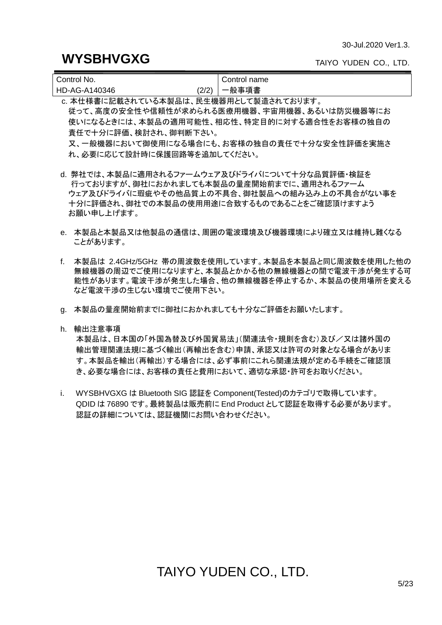### **WYSBHVGXG**

TAIYO YUDEN CO., LTD.

| Control No.   |       | Control name |
|---------------|-------|--------------|
| HD-AG-A140346 | (2/2) | 一般事項書        |

c. 本仕様書に記載されている本製品は、民生機器用として製造されております。 従って、高度の安全性や信頼性が求められる医療用機器、宇宙用機器、あるいは防災機器等にお 使いになるときには、本製品の適用可能性、相応性、特定目的に対する適合性をお客様の独自の 責任で十分に評価、検討され、御判断下さい。 又、一般機器において御使用になる場合にも、お客様の独自の責任で十分な安全性評価を実施さ れ、必要に応じて設計時に保護回路等を追加してください。

d. 弊社では、本製品に適用されるファームウェア及びドライバについて十分な品質評価・検証を 行っておりますが、御社におかれましても本製品の量産開始前までに、適用されるファーム ウェア及びドライバに瑕疵やその他品質上の不具合、御社製品への組み込み上の不具合がない事を 十分に評価され、御社での本製品の使用用途に合致するものであることをご確認頂けますよう お願い申し上げます。

- e. 本製品と本製品又は他製品の通信は、周囲の電波環境及び機器環境により確立又は維持し難くなる ことがあります。
- f. 本製品は 2.4GHz/5GHz 帯の周波数を使用しています。本製品を本製品と同じ周波数を使用した他の 無線機器の周辺でご使用になりますと、本製品とかかる他の無線機器との間で電波干渉が発生する可 能性があります。電波干渉が発生した場合、他の無線機器を停止するか、本製品の使用場所を変える など電波干渉の生じない環境でご使用下さい。
- g. 本製品の量産開始前までに御社におかれましても十分なご評価をお願いたします。
- h. 輸出注意事項

本製品は、日本国の「外国為替及び外国貿易法」(関連法令・規則を含む)及び/又は諸外国の 輸出管理関連法規に基づく輸出(再輸出を含む)申請、承認又は許可の対象となる場合がありま す。本製品を輸出(再輸出)する場合には、必ず事前にこれら関連法規が定める手続をご確認頂 き、必要な場合には、お客様の責任と費用において、適切な承認・許可をお取りください。

i. WYSBHVGXG は Bluetooth SIG 認証を Component(Tested)のカテゴリで取得しています。 QDID は 76890 です。最終製品は販売前に End Product として認証を取得する必要があります。 認証の詳細については、認証機関にお問い合わせください。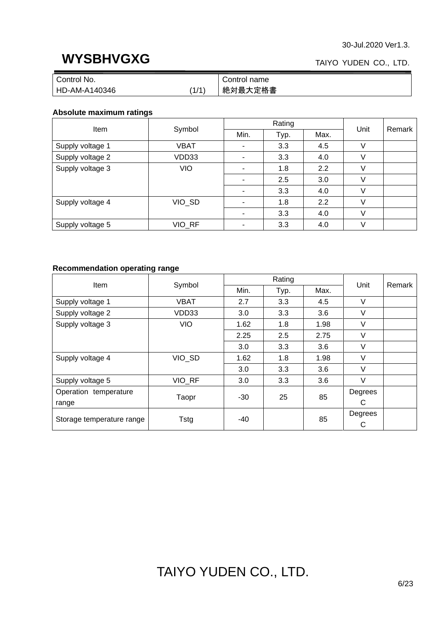### TAIYO YUDEN CO., LTD.

| Control No.   |       | Control name |
|---------------|-------|--------------|
| HD-AM-A140346 | (1/1) | 絶対最大定格書      |

### **Absolute maximum ratings**

|                  |            |                | Rating |      | Remark |  |
|------------------|------------|----------------|--------|------|--------|--|
| Item             | Symbol     | Min.           | Typ.   | Max. | Unit   |  |
| Supply voltage 1 | VBAT       | ۰              | 3.3    | 4.5  | V      |  |
| Supply voltage 2 | VDD33      | $\blacksquare$ | 3.3    | 4.0  |        |  |
| Supply voltage 3 | <b>VIO</b> | $\blacksquare$ | 1.8    | 2.2  | V      |  |
|                  |            |                | 2.5    | 3.0  | V      |  |
|                  |            | $\blacksquare$ | 3.3    | 4.0  | V      |  |
| Supply voltage 4 | VIO_SD     |                | 1.8    | 2.2  | V      |  |
|                  |            |                | 3.3    | 4.0  | V      |  |
| Supply voltage 5 | VIO_RF     | $\blacksquare$ | 3.3    | 4.0  | V      |  |

### **Recommendation operating range**

|                           |             |      | Rating |      |         | Remark |  |
|---------------------------|-------------|------|--------|------|---------|--------|--|
| <b>Item</b>               | Symbol      | Min. | Typ.   | Max. | Unit    |        |  |
| Supply voltage 1          | <b>VBAT</b> | 2.7  | 3.3    | 4.5  | V       |        |  |
| Supply voltage 2          | VDD33       | 3.0  | 3.3    | 3.6  | V       |        |  |
| Supply voltage 3          | <b>VIO</b>  | 1.62 | 1.8    | 1.98 | $\vee$  |        |  |
|                           |             | 2.25 | 2.5    | 2.75 | V       |        |  |
|                           |             | 3.0  | 3.3    | 3.6  | V       |        |  |
| Supply voltage 4          | VIO SD      | 1.62 | 1.8    | 1.98 | V       |        |  |
|                           |             | 3.0  | 3.3    | 3.6  | V       |        |  |
| Supply voltage 5          | VIO RF      | 3.0  | 3.3    | 3.6  | $\vee$  |        |  |
| Operation temperature     | Taopr       | -30  | 25     | 85   | Degrees |        |  |
| range                     |             |      |        |      | C       |        |  |
| Storage temperature range | Tstg        | -40  |        | 85   | Degrees |        |  |
|                           |             |      |        |      | C       |        |  |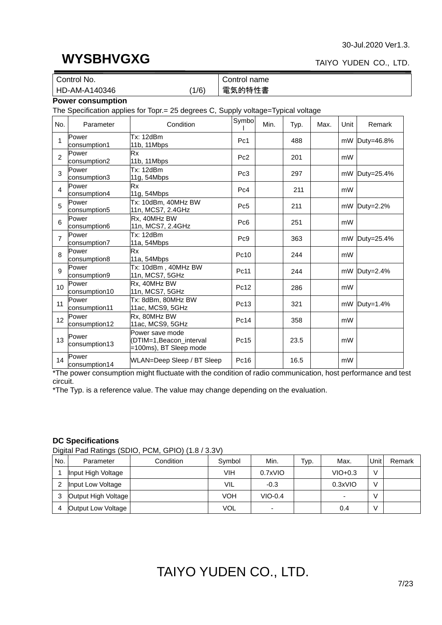#### TAIYO YUDEN CO., LTD.

|                                  | Control No.                                                                       |                                                                      | Control name    |      |      |      |      |                |
|----------------------------------|-----------------------------------------------------------------------------------|----------------------------------------------------------------------|-----------------|------|------|------|------|----------------|
| 電気的特性書<br>HD-AM-A140346<br>(1/6) |                                                                                   |                                                                      |                 |      |      |      |      |                |
|                                  | <b>Power consumption</b>                                                          |                                                                      |                 |      |      |      |      |                |
|                                  | The Specification applies for Topr.= 25 degrees C, Supply voltage=Typical voltage |                                                                      |                 |      |      |      |      |                |
| No.                              | Parameter                                                                         | Condition                                                            | Symbo           | Min. | Typ. | Max. | Unit | Remark         |
| 1                                | Power<br>consumption1                                                             | <b>Tx: 12dBm</b><br>11b, 11Mbps                                      | Pc1             |      | 488  |      |      | mW Duty=46.8%  |
| $\overline{c}$                   | Power<br>consumption2                                                             | <b>Rx</b><br>11b, 11 Mbps                                            | Pc <sub>2</sub> |      | 201  |      | mW   |                |
| 3                                | Power<br>consumption3                                                             | <b>Tx: 12dBm</b><br>11g, 54Mbps                                      | Pc <sub>3</sub> |      | 297  |      |      | mW Duty=25.4%  |
| $\overline{4}$                   | Power<br>consumption4                                                             | <b>Rx</b><br>11g, 54Mbps                                             | Pc <sub>4</sub> |      | 211  |      | mW   |                |
| 5                                | Power<br>consumption5                                                             | Tx: 10dBm, 40MHz BW<br>11n, MCS7, 2.4GHz                             | Pc <sub>5</sub> |      | 211  |      |      | mW Duty=2.2%   |
| 6                                | Power<br>consumption6                                                             | Rx. 40MHz BW<br>11n, MCS7, 2.4GHz                                    | Pc <sub>6</sub> |      | 251  |      | mW   |                |
| 7                                | Power<br>consumption7                                                             | Tx: 12dBm<br>11a, 54Mbps                                             | Pc <sub>9</sub> |      | 363  |      |      | mW Duty=25.4%  |
| 8                                | Power<br>consumption8                                                             | <b>Rx</b><br>11a, 54Mbps                                             | Pc10            |      | 244  |      | mW   |                |
| 9                                | Power<br>consumption9                                                             | Tx: 10dBm, 40MHz BW<br>11n, MCS7, 5GHz                               | Pc11            |      | 244  |      |      | mW Duty=2.4%   |
| 10 <sup>10</sup>                 | Power<br>consumption10                                                            | Rx, 40MHz BW<br>11n, MCS7, 5GHz                                      | Pc12            |      | 286  |      | mW   |                |
| 11                               | Power<br>consumption11                                                            | Tx: 8dBm, 80MHz BW<br>11ac, MCS9, 5GHz                               | Pc13            |      | 321  |      |      | $mW$ Duty=1.4% |
| 12                               | Power<br>consumption12                                                            | Rx, 80MHz BW<br>11ac, MCS9, 5GHz                                     | Pc14            |      | 358  |      | mW   |                |
| 13                               | Power<br>consumption13                                                            | Power save mode<br>DTIM=1, Beacon_interval<br>=100ms), BT Sleep mode | Pc15            |      | 23.5 |      | mW   |                |
| 14                               | Power<br>consumption14                                                            | WLAN=Deep Sleep / BT Sleep                                           | Pc16            |      | 16.5 |      | mW   |                |

\*The power consumption might fluctuate with the condition of radio communication, host performance and test circuit.

\*The Typ. is a reference value. The value may change depending on the evaluation.

#### **DC Specifications**

Digital Pad Ratings (SDIO, PCM, GPIO) (1.8 / 3.3V)

| No. | Parameter           | Condition | Symbol | Min.                     | Typ. | Max.      | Unit   | Remark |
|-----|---------------------|-----------|--------|--------------------------|------|-----------|--------|--------|
|     | Input High Voltage  |           | VIH    | 0.7xVIO                  |      | $VIO+0.3$ | V      |        |
|     | Input Low Voltage   |           | VIL    | $-0.3$                   |      | 0.3xVIO   | $\vee$ |        |
| 3   | Output High Voltage |           | VOH    | $VIO-0.4$                |      |           | V      |        |
|     | Output Low Voltage  |           | VOL    | $\overline{\phantom{0}}$ |      | 0.4       | V      |        |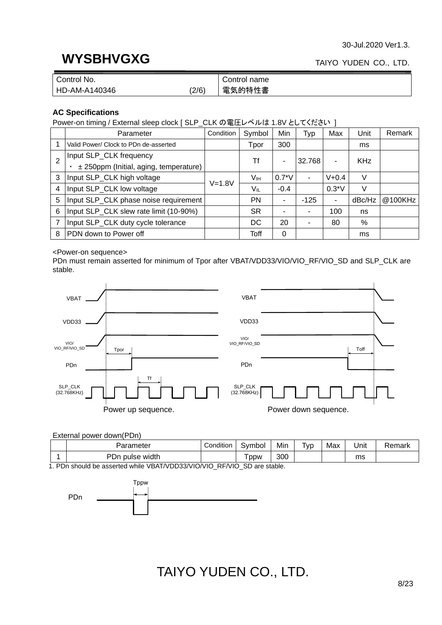## **WYSBHVGXG**

### TAIYO YUDEN CO., LTD.

| $\mathsf{N}$ No.<br>Control |     | Control name |
|-----------------------------|-----|--------------|
| HD-AM-A140346               | 2/6 | 電気的特性書       |

### **AC Specifications**

Power-on timing / External sleep clock [ SLP\_CLK の電圧レベルは 1.8V としてください ]

|                | Parameter                              | Condition  | Symbol    | Min     | Typ    | Max       | Unit       | Remark  |
|----------------|----------------------------------------|------------|-----------|---------|--------|-----------|------------|---------|
|                | Valid Power/ Clock to PDn de-asserted  |            | Tpor      | 300     |        |           | ms         |         |
| $\overline{2}$ | Input SLP_CLK frequency                |            | Τf        | ۰       | 32.768 | ۰         | <b>KHz</b> |         |
|                | ± 250ppm (Initial, aging, temperature) |            |           |         |        |           |            |         |
| 3              | Input SLP_CLK high voltage             | $V = 1.8V$ | Vıн       | $0.7*V$ | ٠      | $V + 0.4$ | V          |         |
| 4              | Input SLP_CLK low voltage              |            | Vıl       | $-0.4$  |        | $0.3*V$   | V          |         |
| 5              | Input SLP_CLK phase noise requirement  |            | <b>PN</b> | -       | $-125$ |           | dBc/Hz     | @100KHz |
| 6              | Input SLP_CLK slew rate limit (10-90%) |            | SR.       | -       |        | 100       | ns         |         |
|                | Input SLP_CLK duty cycle tolerance     |            | DC        | 20      |        | 80        | %          |         |
| 8              | PDN down to Power off                  |            | Toff      | 0       |        |           | ms         |         |

#### <Power-on sequence>

PDn must remain asserted for minimum of Tpor after VBAT/VDD33/VIO/VIO\_RF/VIO\_SD and SLP\_CLK are stable.



External power down(PDn)

| Parameter         | Condition | ان∨ol | Min | $\overline{\phantom{a}}$<br>' VD | Max | Unit | Remark |
|-------------------|-----------|-------|-----|----------------------------------|-----|------|--------|
| pulse width<br>υn |           | ppw   | 300 |                                  |     | ms   |        |

1. PDn should be asserted while VBAT/VDD33/VIO/VIO\_RF/VIO\_SD are stable.

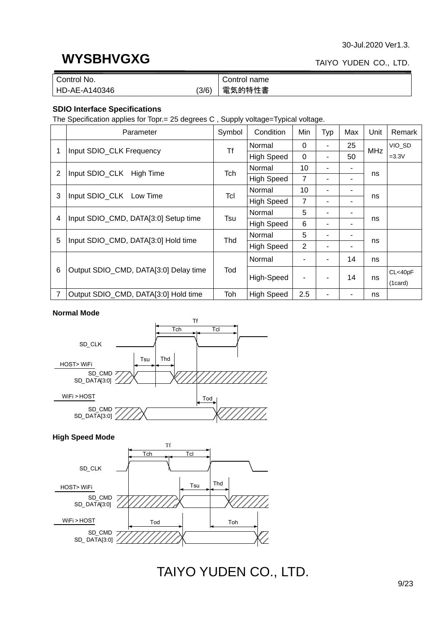# **WYSBHVGXG**

### TAIYO YUDEN CO., LTD.

| Control No.   |       | Control name |
|---------------|-------|--------------|
| HD-AE-A140346 | (3/6) | 電気的特性書       |

### **SDIO Interface Specifications**

The Specification applies for Topr.= 25 degrees C , Supply voltage=Typical voltage.

|   | Parameter                             | Symbol | Condition         | Min            | Typ | Max | Unit       | Remark  |
|---|---------------------------------------|--------|-------------------|----------------|-----|-----|------------|---------|
|   |                                       | Τf     | Normal            | $\Omega$       |     | 25  |            | VIO_SD  |
| 1 | Input SDIO_CLK Frequency              |        | <b>High Speed</b> | $\Omega$       |     | 50  | <b>MHz</b> | $=3.3V$ |
| 2 | Input SDIO_CLK High Time              | Tch    | Normal            | 10             |     |     |            |         |
|   |                                       |        | <b>High Speed</b> | 7              |     | ٠   | ns         |         |
| 3 | Input SDIO_CLK Low Time               | Tcl    | Normal            | 10             |     | -   | ns         |         |
|   |                                       |        | <b>High Speed</b> | $\overline{7}$ |     | ۰   |            |         |
| 4 | Input SDIO_CMD, DATA[3:0] Setup time  | Tsu    | Normal            | 5              |     |     |            |         |
|   |                                       |        | <b>High Speed</b> | 6              |     |     | ns         |         |
| 5 | Input SDIO_CMD, DATA[3:0] Hold time   | Thd    | Normal            | 5              |     | ۰   | ns         |         |
|   |                                       |        | <b>High Speed</b> | $\overline{2}$ |     |     |            |         |
|   |                                       |        | Normal            |                |     | 14  | ns         |         |
| 6 | Output SDIO_CMD, DATA[3:0] Delay time | Tod    | High-Speed        | ۰              |     | 14  | ns         | CL<40pF |
|   |                                       |        |                   |                |     |     |            | (1card) |
| 7 | Output SDIO_CMD, DATA[3:0] Hold time  | Toh    | <b>High Speed</b> | 2.5            |     | -   | ns         |         |

#### **Normal Mode**



#### **High Speed Mode**

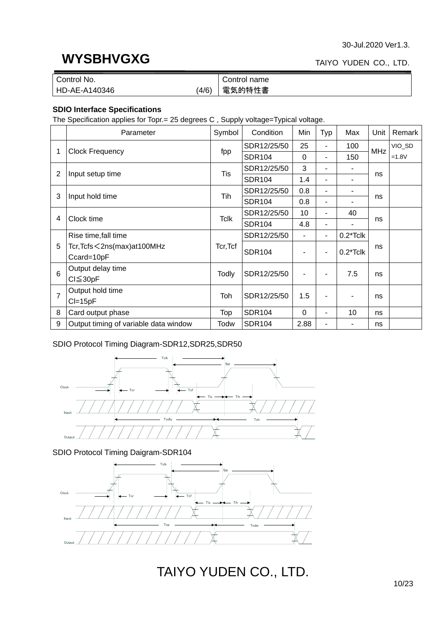## **WYSBHVGXG**

### TAIYO YUDEN CO., LTD.

| Control No.   |       | Control name |
|---------------|-------|--------------|
| HD-AE-A140346 | (4/6) | 電気的特性書       |

### **SDIO Interface Specifications**

The Specification applies for Topr.= 25 degrees C , Supply voltage=Typical voltage.

|                 | Parameter                             | Symbol       | Condition     | Min            | Typ | Max         | Unit       | Remark  |
|-----------------|---------------------------------------|--------------|---------------|----------------|-----|-------------|------------|---------|
|                 |                                       |              | SDR12/25/50   | 25             |     | 100         | <b>MHz</b> | VIO_SD  |
| 1               | <b>Clock Frequency</b>                | fpp          | <b>SDR104</b> | 0              | ٠   | 150         |            | $=1.8V$ |
| 2               |                                       | Tis          | SDR12/25/50   | 3              |     |             |            |         |
|                 | Input setup time                      |              | <b>SDR104</b> | 1.4            |     |             | ns         |         |
| 3               | Input hold time                       | Tih          | SDR12/25/50   | 0.8            | ٠   |             |            |         |
|                 |                                       |              | <b>SDR104</b> | 0.8            | ٠   |             | ns         |         |
| 4               | Clock time                            | Tclk         | SDR12/25/50   | 10             | ٠   | 40          | ns         |         |
|                 |                                       |              | <b>SDR104</b> | 4.8            |     |             |            |         |
|                 | Rise time, fall time                  |              | SDR12/25/50   | $\blacksquare$ | ٠   | $0.2*$ Tclk |            |         |
| 5               | Tcr, Tcfs < 2ns(max) at 100MHz        | Tcr, Tcf     | <b>SDR104</b> |                | ٠   | $0.2*$ Tclk | ns         |         |
|                 | Ccard=10pF                            |              |               |                |     |             |            |         |
| $6\phantom{1}6$ | Output delay time                     | <b>Todly</b> | SDR12/25/50   |                |     | 7.5         | ns         |         |
|                 | Cl≦30pF                               |              |               |                |     |             |            |         |
| $\overline{7}$  | Output hold time                      | Toh          | SDR12/25/50   | 1.5            |     |             | ns         |         |
|                 | $Cl = 15pF$                           |              |               |                |     |             |            |         |
| 8               | Card output phase                     | Top          | <b>SDR104</b> | $\Omega$       | ٠   | 10          | ns         |         |
| 9               | Output timing of variable data window | Todw         | <b>SDR104</b> | 2.88           |     |             | ns         |         |

### SDIO Protocol Timing Diagram-SDR12,SDR25,SDR50



SDIO Protocol Timing Daigram-SDR104

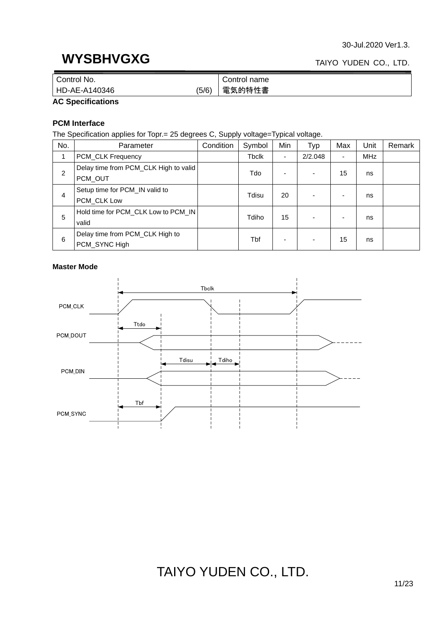### **WYSBHVGXG**

### TAIYO YUDEN CO., LTD.

| No.<br>Control         | Control name |
|------------------------|--------------|
| (5/6)<br>HD-AE-A140346 | 電気的特性書       |

#### **AC Specifications**

### **PCM Interface**

The Specification applies for Topr.= 25 degrees C, Supply voltage=Typical voltage.

| No. | Parameter                             | Condition | Symbol | Min | Typ     | Max | Unit       | Remark |
|-----|---------------------------------------|-----------|--------|-----|---------|-----|------------|--------|
|     | <b>PCM_CLK Frequency</b>              |           | Tbclk  | ۰.  | 2/2.048 | ۰   | <b>MHz</b> |        |
|     | Delay time from PCM_CLK High to valid |           |        |     |         | 15  |            |        |
| 2   | PCM_OUT                               |           | Tdo    |     |         |     | ns         |        |
|     | Setup time for PCM_IN valid to        |           | Tdisu  | 20  |         |     |            |        |
| 4   | PCM_CLK Low                           |           |        |     |         |     | ns         |        |
| 5   | Hold time for PCM_CLK Low to PCM_IN   |           | Tdiho  | 15  |         | ۰   |            |        |
|     | valid                                 |           |        |     |         |     | ns         |        |
| 6   | Delay time from PCM_CLK High to       |           | Tbf    |     |         | 15  |            |        |
|     | PCM_SYNC High                         |           |        | ۰.  |         |     | ns         |        |

#### **Master Mode**

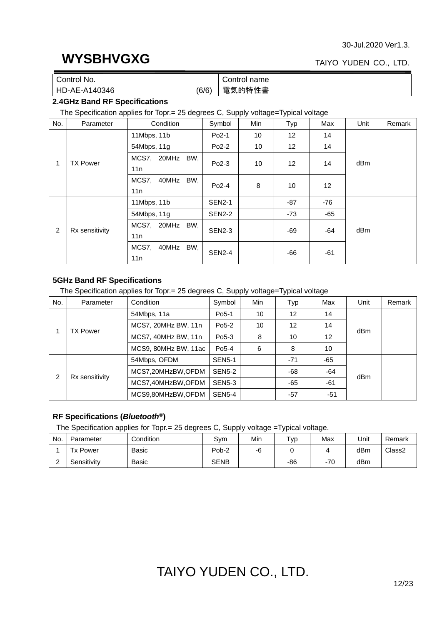### TAIYO YUDEN CO., LTD.

| Control No.   |       | Control name |
|---------------|-------|--------------|
| HD-AE-A140346 | (6/6) | 電気的特性書       |

### **2.4GHz Band RF Specifications**

The Specification applies for Topr.= 25 degrees C, Supply voltage=Typical voltage

| No. | Parameter       | Condition             | Symbol        | <b>Min</b> | Typ               | Max   | Unit | Remark |
|-----|-----------------|-----------------------|---------------|------------|-------------------|-------|------|--------|
|     |                 | 11Mbps, 11b           | $Po2-1$       | 10         | 12 <sup>2</sup>   | 14    |      |        |
|     |                 | 54Mbps, 11g           | $Po2-2$       | 10         | $12 \overline{ }$ | 14    |      |        |
|     | <b>TX Power</b> | MCS7, 20MHz<br>BW,    | $Po2-3$       | 10         | 12 <sup>°</sup>   | 14    | dBm  |        |
|     |                 | 11n                   |               |            |                   |       |      |        |
|     |                 | MCS7,<br>40MHz<br>BW, | $Po2-4$       | 8          | 10                | 12    |      |        |
|     |                 | 11n                   |               |            |                   |       |      |        |
|     |                 | 11Mbps, 11b           | <b>SEN2-1</b> |            | -87               | $-76$ |      |        |
|     |                 | 54Mbps, 11g           | <b>SEN2-2</b> |            | $-73$             | -65   |      |        |
| 2   | Rx sensitivity  | BW,<br>MCS7, 20MHz    | <b>SEN2-3</b> |            |                   |       | dBm  |        |
|     |                 | 11n                   |               |            | -69               | -64   |      |        |
|     |                 | MCS7,<br>BW,<br>40MHz | <b>SEN2-4</b> |            |                   |       |      |        |
|     |                 | 11n                   |               |            | -66               | $-61$ |      |        |

### **5GHz Band RF Specifications**

The Specification applies for Topr.= 25 degrees C, Supply voltage=Typical voltage

| No. | Parameter       | Condition            | Symbol             | Min | Typ               | Max   | Unit | Remark |
|-----|-----------------|----------------------|--------------------|-----|-------------------|-------|------|--------|
|     |                 | 54Mbps, 11a          | Po <sub>5</sub> -1 | 10  | $12 \overline{ }$ | 14    |      |        |
|     | <b>TX Power</b> | MCS7, 20MHz BW, 11n  | Po <sub>5</sub> -2 | 10  | $12 \overline{ }$ | 14    |      |        |
|     |                 | MCS7, 40MHz BW, 11n  | Po <sub>5</sub> -3 | 8   | 10                | 12    | dBm  |        |
|     |                 | MCS9, 80MHz BW, 11ac | Po5-4              | 6   | 8                 | 10    |      |        |
|     |                 | 54Mbps, OFDM         | <b>SEN5-1</b>      |     | $-71$             | $-65$ |      |        |
|     |                 | MCS7,20MHzBW,OFDM    | <b>SEN5-2</b>      |     | -68               | -64   |      |        |
| 2   | Rx sensitivity  | MCS7,40MHzBW,OFDM    | <b>SEN5-3</b>      |     | -65               | $-61$ | dBm  |        |
|     |                 | MCS9,80MHzBW,OFDM    | <b>SEN5-4</b>      |     | $-57$             | $-51$ |      |        |

### **RF Specifications (***Bluetooth***®)**

The Specification applies for Topr.= 25 degrees C, Supply voltage =Typical voltage.

| No. | Parameter       | Condition | Svm         | Min | тур | Max   | Unit | Remark             |
|-----|-----------------|-----------|-------------|-----|-----|-------|------|--------------------|
|     | <b>Tx Power</b> | Basic     | Pob-2       | -0  |     |       | dBm  | Class <sub>2</sub> |
|     | Sensitivitv     | Basic     | <b>SENB</b> |     | -86 | $-70$ | dBm  |                    |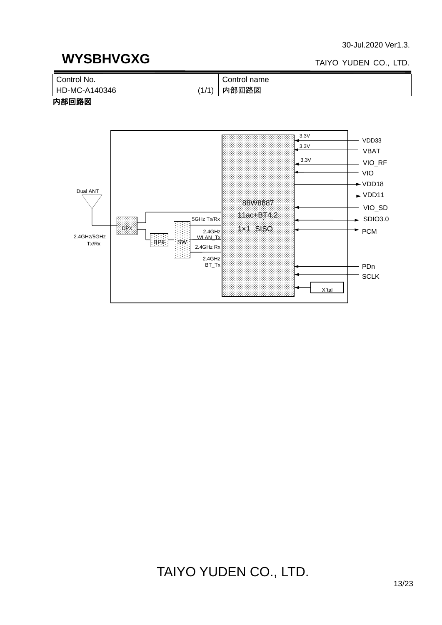### **WYSBHVGXG**

#### TAIYO YUDEN CO., LTD.



### 内部回路図

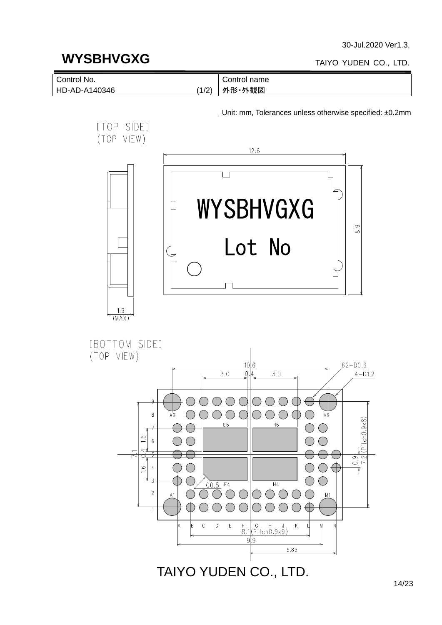### **WYSBHVGXG**

#### TAIYO YUDEN CO., LTD.



14/23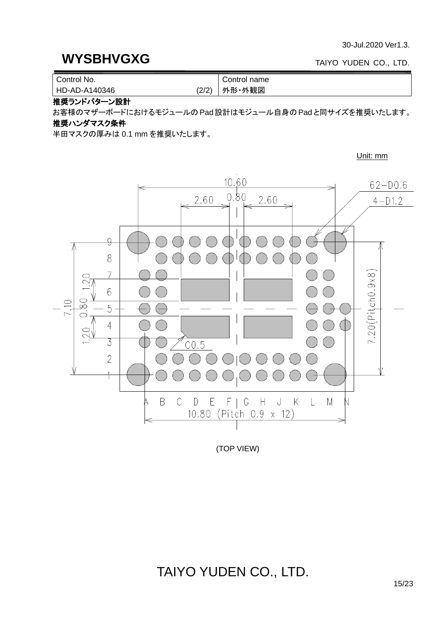#### TAIYO YUDEN CO., LTD.

| Control No.   |       | Control name |
|---------------|-------|--------------|
| HD-AD-A140346 | (2/2) | 外形・外観図       |

推奨ランドパターン設計

お客様のマザーボードにおけるモジュールのPad設計はモジュール自身のPad と同サイズを推奨いたします。

### 推奨ハンダマスク条件

半田マスクの厚みは 0.1 mm を推奨いたします。

Unit: mm



(TOP VIEW)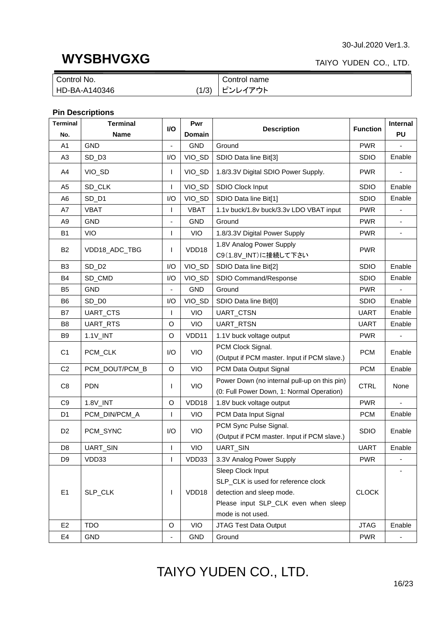### **WYSBHVGXG**

### TAIYO YUDEN CO., LTD.

| Control No.   |       | Control name |
|---------------|-------|--------------|
| HD-BA-A140346 | (1/3) | ピンレイアウト      |

### **Pin Descriptions**

| <b>Terminal</b> | <b>Terminal</b>   | I/O                      | Pwr         | <b>Description</b>                                                                        | <b>Function</b> | <b>Internal</b> |
|-----------------|-------------------|--------------------------|-------------|-------------------------------------------------------------------------------------------|-----------------|-----------------|
| No.             | <b>Name</b>       |                          | Domain      |                                                                                           |                 | <b>PU</b>       |
| A <sub>1</sub>  | <b>GND</b>        |                          | <b>GND</b>  | Ground                                                                                    | <b>PWR</b>      |                 |
| A <sub>3</sub>  | SD_D3             | I/O                      | VIO_SD      | SDIO Data line Bit[3]                                                                     | <b>SDIO</b>     | Enable          |
| A4              | VIO_SD            | L                        | VIO_SD      | 1.8/3.3V Digital SDIO Power Supply.                                                       | <b>PWR</b>      |                 |
| A <sub>5</sub>  | SD_CLK            | L                        | VIO_SD      | SDIO Clock Input                                                                          | <b>SDIO</b>     | Enable          |
| A6              | SD_D1             | I/O                      | VIO_SD      | SDIO Data line Bit[1]                                                                     | <b>SDIO</b>     | Enable          |
| A7              | <b>VBAT</b>       | L                        | <b>VBAT</b> | 1.1v buck/1.8v buck/3.3v LDO VBAT input                                                   | <b>PWR</b>      |                 |
| A9              | <b>GND</b>        |                          | <b>GND</b>  | Ground                                                                                    | <b>PWR</b>      |                 |
| <b>B1</b>       | VIO               | $\mathbf{I}$             | <b>VIO</b>  | 1.8/3.3V Digital Power Supply                                                             | <b>PWR</b>      | $\blacksquare$  |
| <b>B2</b>       | VDD18_ADC_TBG     | L                        | VDD18       | 1.8V Analog Power Supply<br>C9(1.8V_INT)に接続して下さい                                          | <b>PWR</b>      |                 |
| B <sub>3</sub>  | SD_D <sub>2</sub> | I/O                      | VIO_SD      | SDIO Data line Bit[2]                                                                     | <b>SDIO</b>     | Enable          |
| B4              | SD_CMD            | I/O                      | VIO_SD      | SDIO Command/Response                                                                     | <b>SDIO</b>     | Enable          |
| B <sub>5</sub>  | <b>GND</b>        | $\overline{\phantom{a}}$ | <b>GND</b>  | Ground                                                                                    | <b>PWR</b>      |                 |
| B <sub>6</sub>  | SD_D0             | I/O                      | VIO_SD      | SDIO Data line Bit[0]                                                                     | <b>SDIO</b>     | Enable          |
| B7              | UART_CTS          | L                        | VIO         | UART_CTSN                                                                                 | <b>UART</b>     | Enable          |
| B <sub>8</sub>  | UART_RTS          | O                        | VIO         | UART_RTSN                                                                                 | <b>UART</b>     | Enable          |
| B <sub>9</sub>  | 1.1V_INT          | $\circ$                  | VDD11       | 1.1V buck voltage output                                                                  | <b>PWR</b>      |                 |
| C <sub>1</sub>  | PCM_CLK           | I/O                      | <b>VIO</b>  | PCM Clock Signal.                                                                         | <b>PCM</b>      | Enable          |
|                 |                   |                          |             | (Output if PCM master. Input if PCM slave.)                                               |                 |                 |
| C <sub>2</sub>  | PCM_DOUT/PCM_B    | O                        | <b>VIO</b>  | PCM Data Output Signal                                                                    | <b>PCM</b>      | Enable          |
| C <sub>8</sub>  | <b>PDN</b>        | L                        | <b>VIO</b>  | Power Down (no internal pull-up on this pin)<br>(0: Full Power Down, 1: Normal Operation) | <b>CTRL</b>     | None            |
| C <sub>9</sub>  | 1.8V_INT          | O                        | VDD18       | 1.8V buck voltage output                                                                  | <b>PWR</b>      |                 |
| D <sub>1</sub>  | PCM_DIN/PCM_A     | L                        | <b>VIO</b>  | PCM Data Input Signal                                                                     | <b>PCM</b>      | Enable          |
|                 |                   |                          |             | PCM Sync Pulse Signal.                                                                    |                 |                 |
| D <sub>2</sub>  | PCM_SYNC          | I/O                      | <b>VIO</b>  | (Output if PCM master. Input if PCM slave.)                                               | <b>SDIO</b>     | Enable          |
| D <sub>8</sub>  | UART_SIN          |                          | <b>VIO</b>  | <b>UART_SIN</b>                                                                           | <b>UART</b>     | Enable          |
| D <sub>9</sub>  | VDD33             | $\mathsf{I}$             | VDD33       | 3.3V Analog Power Supply                                                                  | <b>PWR</b>      |                 |
|                 |                   |                          |             | Sleep Clock Input                                                                         |                 |                 |
|                 |                   |                          |             | SLP_CLK is used for reference clock                                                       |                 |                 |
| E1              | SLP_CLK           |                          | VDD18       | detection and sleep mode.                                                                 | <b>CLOCK</b>    |                 |
|                 |                   |                          |             | Please input SLP_CLK even when sleep                                                      |                 |                 |
|                 |                   |                          |             | mode is not used.                                                                         |                 |                 |
| E <sub>2</sub>  | <b>TDO</b>        | O                        | <b>VIO</b>  | JTAG Test Data Output                                                                     | <b>JTAG</b>     | Enable          |
| E4              | <b>GND</b>        |                          | <b>GND</b>  | Ground                                                                                    | <b>PWR</b>      |                 |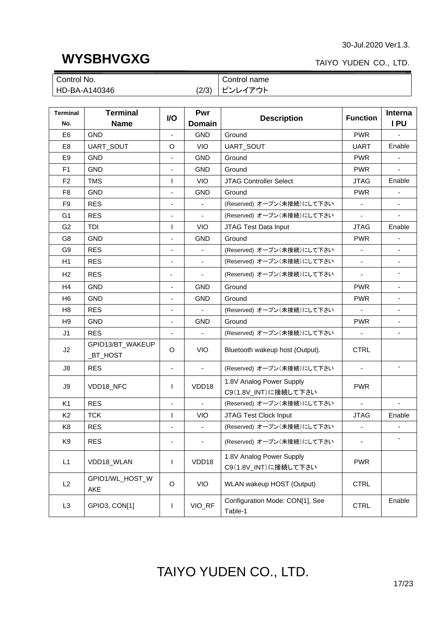### **WYSBHVGXG**

### TAIYO YUDEN CO., LTD.

| Control No.   |       | Control name        |
|---------------|-------|---------------------|
| HD-BA-A140346 | (2/3) | ピンレイ<br><b>′アウト</b> |

| <b>Terminal</b><br>No. | <b>Terminal</b><br><b>Name</b>  | <b>VO</b>                | Pwr<br>Domain            | <b>Description</b>                               | <b>Function</b>          | Interna<br>IPU           |
|------------------------|---------------------------------|--------------------------|--------------------------|--------------------------------------------------|--------------------------|--------------------------|
| E <sub>6</sub>         | <b>GND</b>                      | $\blacksquare$           | <b>GND</b>               | Ground                                           | <b>PWR</b>               |                          |
| E <sub>8</sub>         | UART_SOUT                       | O                        | <b>VIO</b>               | UART_SOUT                                        | <b>UART</b>              | Enable                   |
| E <sub>9</sub>         | <b>GND</b>                      |                          | <b>GND</b>               | Ground                                           | <b>PWR</b>               |                          |
| F1                     | <b>GND</b>                      | $\blacksquare$           | <b>GND</b>               | Ground                                           | <b>PWR</b>               | $\blacksquare$           |
| F <sub>2</sub>         | <b>TMS</b>                      | $\mathsf{I}$             | <b>VIO</b>               | <b>JTAG Controller Select</b>                    | <b>JTAG</b>              | Enable                   |
| F <sub>8</sub>         | <b>GND</b>                      | ÷,                       | <b>GND</b>               | Ground                                           | <b>PWR</b>               |                          |
| F <sub>9</sub>         | <b>RES</b>                      | $\blacksquare$           | $\blacksquare$           | (Reserved) オープン(未接続)にして下さい                       |                          |                          |
| G <sub>1</sub>         | <b>RES</b>                      | $\blacksquare$           | $\blacksquare$           | (Reserved) オープン(未接続)にして下さい                       | $\overline{a}$           |                          |
| G <sub>2</sub>         | TDI                             | $\mathsf{I}$             | <b>VIO</b>               | JTAG Test Data Input                             | <b>JTAG</b>              | Enable                   |
| G <sub>8</sub>         | <b>GND</b>                      | $\overline{\phantom{a}}$ | <b>GND</b>               | Ground                                           | <b>PWR</b>               |                          |
| G <sub>9</sub>         | <b>RES</b>                      | $\overline{\phantom{a}}$ | $\blacksquare$           | (Reserved) オープン(未接続)にして下さい                       | $\Box$                   | $\overline{\phantom{a}}$ |
| H1                     | <b>RES</b>                      | $\overline{\phantom{a}}$ | $\overline{\phantom{a}}$ | (Reserved) オープン(未接続)にして下さい                       |                          |                          |
| H <sub>2</sub>         | <b>RES</b>                      | $\blacksquare$           | $\blacksquare$           | (Reserved) オープン(未接続)にして下さい                       | $\blacksquare$           | $\overline{\phantom{0}}$ |
| H <sub>4</sub>         | <b>GND</b>                      |                          | <b>GND</b>               | Ground                                           | <b>PWR</b>               |                          |
| H <sub>6</sub>         | <b>GND</b>                      | $\overline{\phantom{a}}$ | <b>GND</b>               | Ground                                           | <b>PWR</b>               | $\overline{\phantom{a}}$ |
| H <sub>8</sub>         | <b>RES</b>                      | $\overline{\phantom{a}}$ | $\blacksquare$           | (Reserved) オープン(未接続)にして下さい                       |                          | $\overline{\phantom{a}}$ |
| H <sub>9</sub>         | <b>GND</b>                      | $\overline{\phantom{a}}$ | <b>GND</b>               | Ground                                           |                          | $\blacksquare$           |
| J1                     | <b>RES</b>                      | ÷,                       | $\blacksquare$           | (Reserved) オープン(未接続)にして下さい                       |                          | $\blacksquare$           |
| J2                     | GPIO13/BT_WAKEUP<br>$_BT$ -HOST | O                        | <b>VIO</b>               | Bluetooth wakeup host (Output).                  |                          |                          |
| J8                     | <b>RES</b>                      | $\overline{\phantom{a}}$ | $\blacksquare$           | (Reserved) オープン(未接続)にして下さい                       |                          | $\blacksquare$           |
| J9                     | VDD18_NFC                       | I                        | VDD <sub>18</sub>        | 1.8V Analog Power Supply<br>C9(1.8V_INT)に接続して下さい |                          |                          |
| K <sub>1</sub>         | <b>RES</b>                      | $\overline{\phantom{a}}$ |                          | (Reserved) オープン(未接続)にして下さい                       |                          |                          |
| K <sub>2</sub>         | <b>TCK</b>                      | $\mathsf{I}$             | <b>VIO</b>               | JTAG Test Clock Input                            | <b>JTAG</b>              | Enable                   |
| K <sub>8</sub>         | <b>RES</b>                      | $\overline{\phantom{a}}$ | $\blacksquare$           | (Reserved) オープン(未接続)にして下さい                       | $\overline{\phantom{a}}$ | $\frac{1}{2}$            |
| K9                     | <b>RES</b>                      | $\blacksquare$           | $\blacksquare$           | (Reserved) オープン(未接続)にして下さい                       |                          |                          |
| L1                     | VDD18_WLAN                      | $\mathbf{I}$             | VDD18                    | 1.8V Analog Power Supply<br>C9(1.8V_INT)に接続して下さい |                          |                          |
| L2                     | GPIO1/WL_HOST_W<br>AKE          | O                        | <b>VIO</b>               | WLAN wakeup HOST (Output)                        | <b>CTRL</b>              |                          |
| L <sub>3</sub>         | GPIO3, CON[1]                   | $\mathsf{I}$             | VIO_RF                   | Configuration Mode: CON[1], See<br>Table-1       | <b>CTRL</b>              | Enable                   |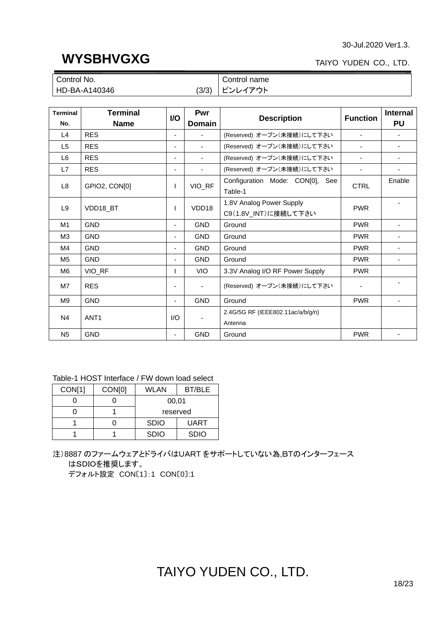### **WYSBHVGXG**

### TAIYO YUDEN CO., LTD.

| Control No.            | Control name |
|------------------------|--------------|
| (3/3)<br>HD-BA-A140346 | グアウト<br>ハレイ  |

| <b>Terminal</b><br>No. | <b>Terminal</b><br><b>Name</b> | <b>VO</b>                | Pwr<br><b>Domain</b>         | <b>Description</b>                               | <b>Function</b> | <b>Internal</b><br><b>PU</b> |
|------------------------|--------------------------------|--------------------------|------------------------------|--------------------------------------------------|-----------------|------------------------------|
| L4                     | <b>RES</b>                     | $\blacksquare$           |                              | (Reserved) オープン(未接続)にして下さい                       |                 |                              |
| L <sub>5</sub>         | <b>RES</b>                     | ٠                        | $\overline{\phantom{a}}$     | (Reserved) オープン(未接続)にして下さい                       | ٠               |                              |
| L <sub>6</sub>         | <b>RES</b>                     | ۰.                       | ٠                            | (Reserved) オープン(未接続)にして下さい                       | ٠               |                              |
| L7                     | <b>RES</b>                     | $\blacksquare$           | $\blacksquare$               | (Reserved) オープン(未接続)にして下さい                       | ٠               | ٠                            |
| L <sub>8</sub>         | GPIO2, CONIOI                  | $\mathbf{I}$             | VIO_RF                       | Configuration Mode: CON[0], See<br>Table-1       | <b>CTRL</b>     | Enable                       |
| L <sub>9</sub>         | VDD18_BT                       |                          | VDD <sub>18</sub>            | 1.8V Analog Power Supply<br>C9(1.8V_INT)に接続して下さい | <b>PWR</b>      |                              |
| M1                     | <b>GND</b>                     | $\overline{\phantom{a}}$ | <b>GND</b>                   | Ground                                           | <b>PWR</b>      |                              |
| M <sub>3</sub>         | GND                            | $\overline{\phantom{a}}$ | <b>GND</b>                   | Ground                                           |                 |                              |
| M4                     | <b>GND</b>                     | $\overline{\phantom{a}}$ | <b>GND</b>                   | Ground                                           |                 |                              |
| M <sub>5</sub>         | <b>GND</b>                     |                          | <b>GND</b>                   | Ground                                           | <b>PWR</b>      |                              |
| M6                     | VIO_RF                         |                          | <b>VIO</b>                   | 3.3V Analog I/O RF Power Supply                  | <b>PWR</b>      |                              |
| M7                     | <b>RES</b>                     | $\overline{\phantom{a}}$ | $\overline{\phantom{a}}$     | (Reserved) オープン(未接続)にして下さい                       | ٠               |                              |
| M <sub>9</sub>         | <b>GND</b>                     | $\overline{\phantom{0}}$ | <b>GND</b>                   | Ground                                           | <b>PWR</b>      |                              |
| N <sub>4</sub>         | ANT <sub>1</sub>               | I/O                      | $\qquad \qquad \blacksquare$ | 2.4G/5G RF (IEEE802.11ac/a/b/q/n)<br>Antenna     |                 |                              |
| <b>N<sub>5</sub></b>   | <b>GND</b>                     | $\overline{\phantom{0}}$ | <b>GND</b>                   | Ground                                           | <b>PWR</b>      |                              |

### Table-1 HOST Interface / FW down load select

| CON[1] | CON <sub>[0]</sub> | WLAN                       | <b>BT/BLE</b> |
|--------|--------------------|----------------------------|---------------|
|        |                    | 00,01                      |               |
|        |                    | reserved                   |               |
|        |                    | <b>SDIO</b><br><b>UART</b> |               |
|        |                    | <b>SDIO</b>                | <b>SDIO</b>   |

注)8887 のファームウェアとドライバはUART をサポートしていない為,BTのインターフェース はSDIOを推奨します。

デフォルト設定 CON〔1〕:1 CON〔0〕:1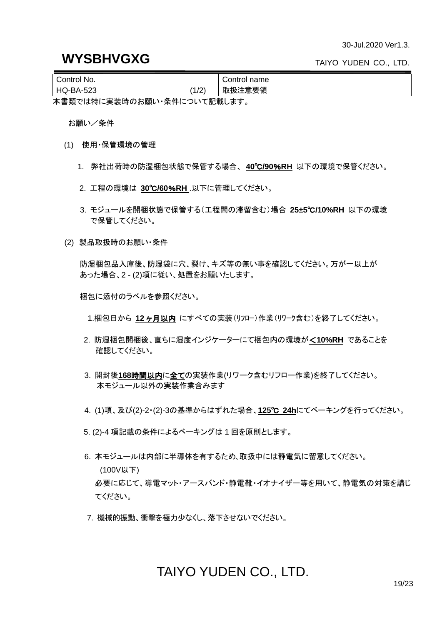| Control No. |       | Control name |  |  |  |
|-------------|-------|--------------|--|--|--|
| HQ-BA-523   | (1/2) | 取扱注意要領       |  |  |  |
|             |       |              |  |  |  |

本書類では特に実装時のお願い・条件について記載します。

お願い/条件

- (1) 使用・保管環境の管理
	- 1. 弊社出荷時の防湿梱包状態で保管する場合、 **40**℃**/90**%**RH** 以下の環境で保管ください。
	- 2. 工程の環境は **30**℃**/60**%**RH** .以下に管理してください。
	- 3. モジュールを開梱状態で保管する(工程間の滞留含む)場合 **25±5**℃**/10%RH** 以下の環境 で保管してください。
- (2) 製品取扱時のお願い・条件

防湿梱包品入庫後、防湿袋に穴、裂け、キズ等の無い事を確認してください。万が一以上が あった場合、2 - (2)項に従い、処置をお願いたします。

梱包に添付のラベルを参照ください。

1.梱包日から **12** ヶ月以内 にすべての実装(リフロー)作業(リワーク含む)を終了してください。

- 2. 防湿梱包開梱後、直ちに湿度インジケーターにて梱包内の環境が<**10%RH** であることを 確認してください。
- 3. 開封後**168**時間以内に全ての実装作業(リワーク含むリフロー作業)を終了してください。 本モジュール以外の実装作業含みます
- 4. (1)項、及び(2)-2・(2)-3の基準からはずれた場合、**125**℃ **24h**にてベーキングを行ってください。
- 5. (2)-4 項記載の条件によるベーキングは 1 回を原則とします。
- 6. 本モジュールは内部に半導体を有するため、取扱中には静電気に留意してください。 (100V以下) 必要に応じて、導電マット・アースバンド・静電靴・イオナイザー等を用いて、静電気の対策を講じ てください。
- 7. 機械的振動、衝撃を極力少なくし、落下させないでください。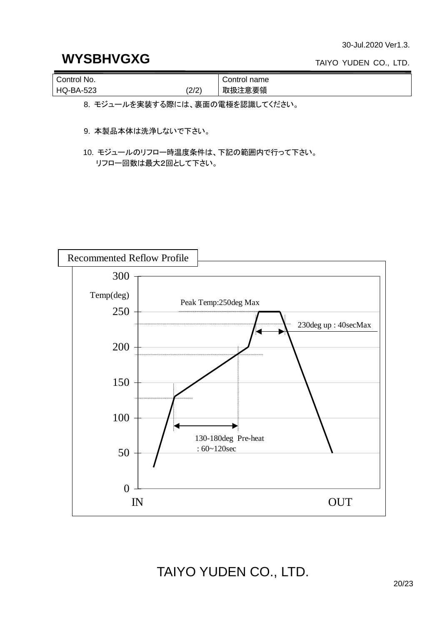### **WYSBHVGXG**

TAIYO YUDEN CO., LTD.

| Control No.      |       | Control name |
|------------------|-------|--------------|
| <b>HQ-BA-523</b> | (2/2) | 取扱注意要領       |

8. モジュールを実装する際には、裏面の電極を認識してください。

9. 本製品本体は洗浄しないで下さい。

10. モジュールのリフロー時温度条件は、下記の範囲内で行って下さい。 リフロー回数は最大2回として下さい。

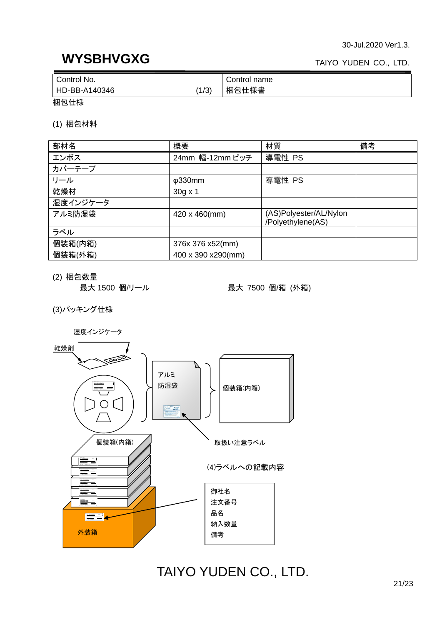### **WYSBHVGXG**

#### TAIYO YUDEN CO., LTD.

| Control No.            | Control name |
|------------------------|--------------|
| (1/3)<br>HD-BB-A140346 | 梱包仕様書        |

梱包仕様

(1) 梱包材料

| 部材名      | 概要                   | 材質                                          | 備考 |
|----------|----------------------|---------------------------------------------|----|
| エンボス     | 24mm 幅-12mm ピッチ      | 導電性 PS                                      |    |
| カバーテープ   |                      |                                             |    |
| リール      | $\phi$ 330mm         | 導電性 PS                                      |    |
| 乾燥材      | $30g \times 1$       |                                             |    |
| 湿度インジケータ |                      |                                             |    |
| アルミ防湿袋   | 420 x 460(mm)        | (AS)Polyester/AL/Nylon<br>/Polyethylene(AS) |    |
| ラベル      |                      |                                             |    |
| 個装箱(内箱)  | 376x 376 x52(mm)     |                                             |    |
| 個装箱(外箱)  | 400 x 390 x 290 (mm) |                                             |    |

(2) 梱包数量

最大 1500 個/リール まんのおくちゃく 最大 7500 個/箱 (外箱)

(3)パッキング仕様

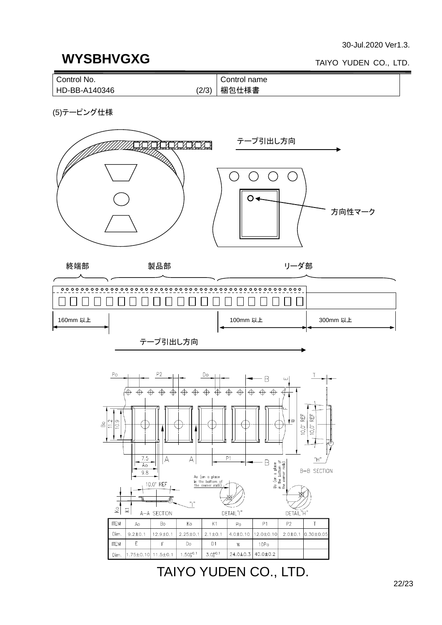### **WYSBHVGXG**

#### TAIYO YUDEN CO., LTD.



(5)テーピング仕様





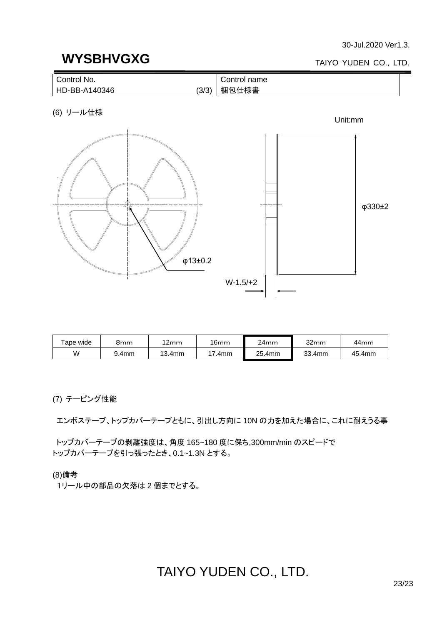### **WYSBHVGXG**

#### TAIYO YUDEN CO., LTD.



(6) リール仕様



| ape wide | 8mm   | 12mm   | 16mm | 24mm   | 32mm   | 44mm   |
|----------|-------|--------|------|--------|--------|--------|
| W        | 9.4mm | 13.4mm | .4mm | 25.4mm | 33.4mm | 45.4mm |

(7) テーピング性能

エンボステープ、トップカバーテープともに、引出し方向に 10N の力を加えた場合に、これに耐えうる事

トップカバーテープの剥離強度は、角度 165~180 度に保ち,300mm/min のスピードで トップカバーテープを引っ張ったとき、0.1~1.3N とする。

(8)備考

1リール中の部品の欠落は 2 個までとする。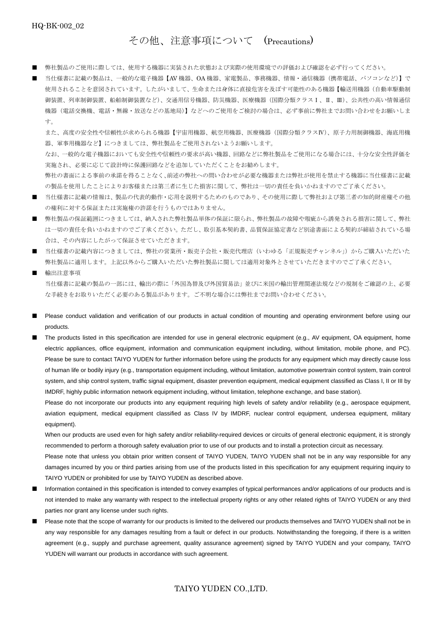その他、注意事項について (Precautions)

- 弊社製品のご使用に際しては、使用する機器に実装された状態および実際の使用環境での評価および確認を必ず行ってください。
- 当仕様書に記載の製品は、一般的な電子機器【AV 機器、OA 機器、家電製品、事務機器、情報・通信機器(携帯電話、パソコンなど)】で 使用されることを意図されています。したがいまして、生命または身体に直接危害を及ぼす可能性のある機器【輸送用機器(自動車駆動制 御装置、列車制御装置、船舶制御装置など)、交通用信号機器、防災機器、医療機器(国際分類クラスⅠ、Ⅱ、Ⅲ)、公共性の高い情報通信 機器(電話交換機、電話・無線・放送などの基地局)】などへのご使用をご検討の場合は、必ず事前に弊社までお問い合わせをお願いしま す。

また、高度の安全性や信頼性が求められる機器【宇宙用機器、航空用機器、医療機器(国際分類クラスⅣ)、原子力用制御機器、海底用機 器、軍事用機器など】につきましては、弊社製品をご使用されないようお願いします。

なお、一般的な電子機器においても安全性や信頼性の要求が高い機器、回路などに弊社製品をご使用になる場合には、十分な安全性評価を 実施され、必要に応じて設計時に保護回路などを追加していただくことをお勧めします。

弊社の書面による事前の承諾を得ることなく、前述の弊社への問い合わせが必要な機器または弊社が使用を禁止する機器に当仕様書に記載 の製品を使用したことによりお客様または第三者に生じた損害に関して、弊社は一切の責任を負いかねますのでご了承ください。

- 当仕様書に記載の情報は、製品の代表的動作・応用を説明するためのものであり、その使用に際して弊社および第三者の知的財産権その他 の権利に対する保証または実施権の許諾を行うものではありません。
- 弊社製品の保証範囲につきましては、納入された弊社製品単体の保証に限られ、弊社製品の故障や瑕疵から誘発される損害に関して、弊社 は一切の責任を負いかねますのでご了承ください。ただし、取引基本契約書、品質保証協定書など別途書面による契約が締結されている場 合は、その内容にしたがって保証させていただきます。
- 当仕様書の記載内容につきましては、弊社の営業所・販売子会社・販売代理店 (いわゆる「正規販売チャンネル」)からご購入いただいた 弊社製品に適用します。上記以外からご購入いただいた弊社製品に関しては適用対象外とさせていただきますのでご了承ください。
- 輸出注意事項 当仕様書に記載の製品の一部には、輸出の際に「外国為替及び外国貿易法」並びに米国の輸出管理関連法規などの規制をご確認の上、必要 な手続きをお取りいただく必要のある製品があります。ご不明な場合には弊社までお問い合わせください。
- Please conduct validation and verification of our products in actual condition of mounting and operating environment before using our products.

■ The products listed in this specification are intended for use in general electronic equipment (e.g., AV equipment, OA equipment, home electric appliances, office equipment, information and communication equipment including, without limitation, mobile phone, and PC). Please be sure to contact TAIYO YUDEN for further information before using the products for any equipment which may directly cause loss of human life or bodily injury (e.g., transportation equipment including, without limitation, automotive powertrain control system, train control system, and ship control system, traffic signal equipment, disaster prevention equipment, medical equipment classified as Class I, II or III by IMDRF, highly public information network equipment including, without limitation, telephone exchange, and base station).

Please do not incorporate our products into any equipment requiring high levels of safety and/or reliability (e.g., aerospace equipment, aviation equipment, medical equipment classified as Class IV by IMDRF, nuclear control equipment, undersea equipment, military equipment).

When our products are used even for high safety and/or reliability-required devices or circuits of general electronic equipment, it is strongly recommended to perform a thorough safety evaluation prior to use of our products and to install a protection circuit as necessary.

Please note that unless you obtain prior written consent of TAIYO YUDEN, TAIYO YUDEN shall not be in any way responsible for any damages incurred by you or third parties arising from use of the products listed in this specification for any equipment requiring inquiry to TAIYO YUDEN or prohibited for use by TAIYO YUDEN as described above.

- Information contained in this specification is intended to convey examples of typical performances and/or applications of our products and is not intended to make any warranty with respect to the intellectual property rights or any other related rights of TAIYO YUDEN or any third parties nor grant any license under such rights.
- Please note that the scope of warranty for our products is limited to the delivered our products themselves and TAIYO YUDEN shall not be in any way responsible for any damages resulting from a fault or defect in our products. Notwithstanding the foregoing, if there is a written agreement (e.g., supply and purchase agreement, quality assurance agreement) signed by TAIYO YUDEN and your company, TAIYO YUDEN will warrant our products in accordance with such agreement.